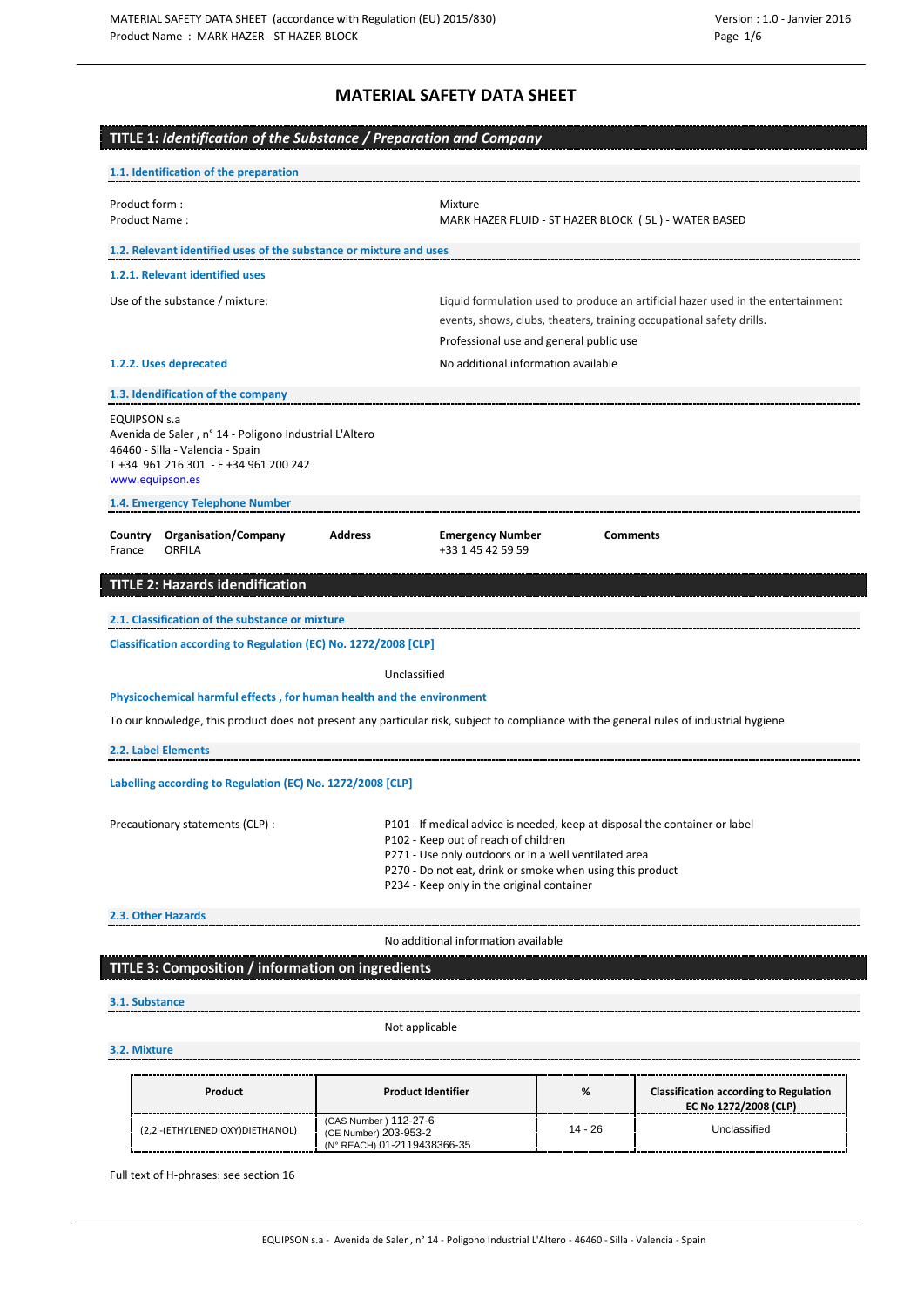## **MATERIAL SAFETY DATA SHEET**

| TITLE 1: Identification of the Substance / Preparation and Company<br>1.1. Identification of the preparation                                                                  |                |                                                                                                                                                                                                                                                                                         |                                                                                                                                                          |  |  |
|-------------------------------------------------------------------------------------------------------------------------------------------------------------------------------|----------------|-----------------------------------------------------------------------------------------------------------------------------------------------------------------------------------------------------------------------------------------------------------------------------------------|----------------------------------------------------------------------------------------------------------------------------------------------------------|--|--|
| Product form :<br>Product Name:                                                                                                                                               |                | Mixture                                                                                                                                                                                                                                                                                 | MARK HAZER FLUID - ST HAZER BLOCK (5L) - WATER BASED                                                                                                     |  |  |
| 1.2. Relevant identified uses of the substance or mixture and uses                                                                                                            |                |                                                                                                                                                                                                                                                                                         |                                                                                                                                                          |  |  |
| 1.2.1. Relevant identified uses                                                                                                                                               |                |                                                                                                                                                                                                                                                                                         |                                                                                                                                                          |  |  |
| Use of the substance / mixture:                                                                                                                                               |                |                                                                                                                                                                                                                                                                                         | Liquid formulation used to produce an artificial hazer used in the entertainment<br>events, shows, clubs, theaters, training occupational safety drills. |  |  |
|                                                                                                                                                                               |                | Professional use and general public use                                                                                                                                                                                                                                                 |                                                                                                                                                          |  |  |
| 1.2.2. Uses deprecated                                                                                                                                                        |                | No additional information available                                                                                                                                                                                                                                                     |                                                                                                                                                          |  |  |
| 1.3. Idendification of the company                                                                                                                                            |                |                                                                                                                                                                                                                                                                                         |                                                                                                                                                          |  |  |
| <b>EQUIPSON s.a</b><br>Avenida de Saler, nº 14 - Poligono Industrial L'Altero<br>46460 - Silla - Valencia - Spain<br>T +34 961 216 301 - F +34 961 200 242<br>www.equipson.es |                |                                                                                                                                                                                                                                                                                         |                                                                                                                                                          |  |  |
| 1.4. Emergency Telephone Number                                                                                                                                               |                |                                                                                                                                                                                                                                                                                         |                                                                                                                                                          |  |  |
| <b>Organisation/Company</b><br>Country<br><b>ORFILA</b><br>France                                                                                                             | <b>Address</b> | <b>Emergency Number</b><br>+33 1 45 42 59 59                                                                                                                                                                                                                                            | <b>Comments</b>                                                                                                                                          |  |  |
| <b>TITLE 2: Hazards idendification</b>                                                                                                                                        |                |                                                                                                                                                                                                                                                                                         |                                                                                                                                                          |  |  |
| 2.1. Classification of the substance or mixture                                                                                                                               |                |                                                                                                                                                                                                                                                                                         |                                                                                                                                                          |  |  |
| Classification according to Regulation (EC) No. 1272/2008 [CLP]                                                                                                               |                |                                                                                                                                                                                                                                                                                         |                                                                                                                                                          |  |  |
|                                                                                                                                                                               |                | Unclassified                                                                                                                                                                                                                                                                            |                                                                                                                                                          |  |  |
| Physicochemical harmful effects, for human health and the environment                                                                                                         |                |                                                                                                                                                                                                                                                                                         |                                                                                                                                                          |  |  |
|                                                                                                                                                                               |                |                                                                                                                                                                                                                                                                                         | To our knowledge, this product does not present any particular risk, subject to compliance with the general rules of industrial hygiene                  |  |  |
| 2.2. Label Elements                                                                                                                                                           |                |                                                                                                                                                                                                                                                                                         |                                                                                                                                                          |  |  |
| Labelling according to Regulation (EC) No. 1272/2008 [CLP]                                                                                                                    |                |                                                                                                                                                                                                                                                                                         |                                                                                                                                                          |  |  |
| Precautionary statements (CLP) :                                                                                                                                              |                | P101 - If medical advice is needed, keep at disposal the container or label<br>P102 - Keep out of reach of children<br>P271 - Use only outdoors or in a well ventilated area<br>P270 - Do not eat, drink or smoke when using this product<br>P234 - Keep only in the original container |                                                                                                                                                          |  |  |
|                                                                                                                                                                               |                |                                                                                                                                                                                                                                                                                         |                                                                                                                                                          |  |  |
| 2.3. Other Hazards                                                                                                                                                            |                |                                                                                                                                                                                                                                                                                         |                                                                                                                                                          |  |  |
|                                                                                                                                                                               |                | No additional information available                                                                                                                                                                                                                                                     |                                                                                                                                                          |  |  |

## **3.1. Substance**

Not applicable

## **3.2. Mixture**

| Product                         | <b>Product Identifier</b>                                                      | %       | <b>Classification according to Regulation</b><br>EC No 1272/2008 (CLP) |
|---------------------------------|--------------------------------------------------------------------------------|---------|------------------------------------------------------------------------|
| (2,2'-(ETHYLENEDIOXY)DIETHANOL) | (CAS Number ) 112-27-6<br>(CE Number) 203-953-2<br>(N° REACH) 01-2119438366-35 | 14 - 26 | l Inclassified                                                         |

Full text of H-phrases: see section 16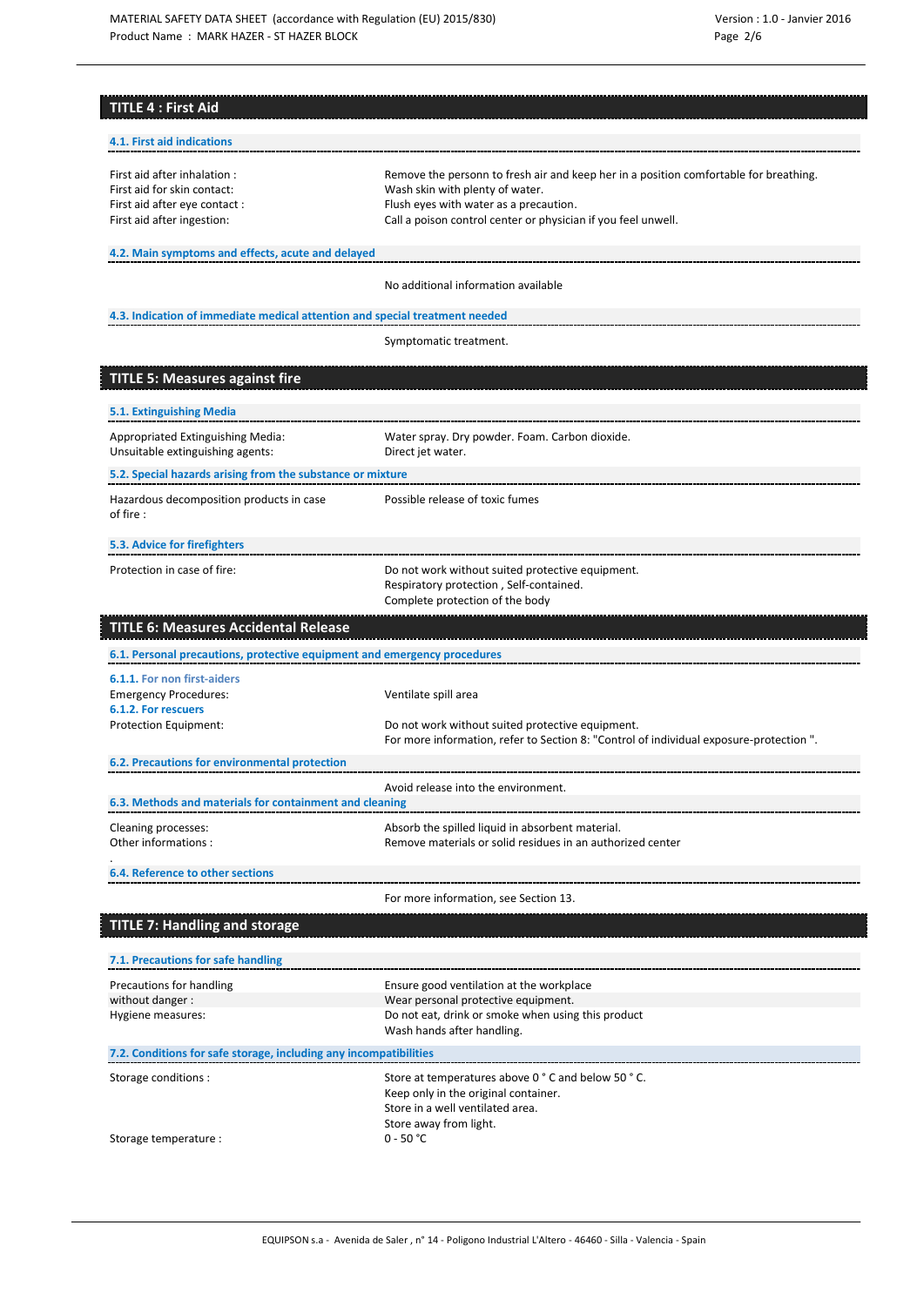| <b>TITLE 4: First Aid</b>                                                   |                                                                                             |
|-----------------------------------------------------------------------------|---------------------------------------------------------------------------------------------|
|                                                                             |                                                                                             |
| 4.1. First aid indications                                                  |                                                                                             |
| First aid after inhalation :                                                | Remove the personn to fresh air and keep her in a position comfortable for breathing.       |
| First aid for skin contact:<br>First aid after eye contact :                | Wash skin with plenty of water.<br>Flush eyes with water as a precaution.                   |
| First aid after ingestion:                                                  | Call a poison control center or physician if you feel unwell.                               |
| 4.2. Main symptoms and effects, acute and delayed                           |                                                                                             |
|                                                                             |                                                                                             |
|                                                                             | No additional information available                                                         |
| 4.3. Indication of immediate medical attention and special treatment needed |                                                                                             |
|                                                                             | Symptomatic treatment.                                                                      |
| <b>TITLE 5: Measures against fire</b>                                       |                                                                                             |
| 5.1. Extinguishing Media                                                    |                                                                                             |
| Appropriated Extinguishing Media:                                           | Water spray. Dry powder. Foam. Carbon dioxide.                                              |
| Unsuitable extinguishing agents:                                            | Direct jet water.                                                                           |
| 5.2. Special hazards arising from the substance or mixture                  |                                                                                             |
| Hazardous decomposition products in case<br>of fire:                        | Possible release of toxic fumes                                                             |
|                                                                             |                                                                                             |
| 5.3. Advice for firefighters                                                |                                                                                             |
| Protection in case of fire:                                                 | Do not work without suited protective equipment.<br>Respiratory protection, Self-contained. |
|                                                                             | Complete protection of the body                                                             |
| <b>TITLE 6: Measures Accidental Release</b>                                 |                                                                                             |
|                                                                             |                                                                                             |
| 6.1. Personal precautions, protective equipment and emergency procedures    |                                                                                             |
| 6.1.1. For non first-aiders                                                 |                                                                                             |
| <b>Emergency Procedures:</b><br>6.1.2. For rescuers                         | Ventilate spill area                                                                        |
| Protection Equipment:                                                       | Do not work without suited protective equipment.                                            |
| 6.2. Precautions for environmental protection                               | For more information, refer to Section 8: "Control of individual exposure-protection".      |
|                                                                             | Avoid release into the environment.                                                         |
| 6.3. Methods and materials for containment and cleaning                     |                                                                                             |
| Cleaning processes:                                                         | Absorb the spilled liquid in absorbent material.                                            |
| Other informations:                                                         | Remove materials or solid residues in an authorized center                                  |
| 6.4. Reference to other sections                                            |                                                                                             |
|                                                                             | For more information, see Section 13.                                                       |
| <b>TITLE 7: Handling and storage</b>                                        |                                                                                             |
| 7.1. Precautions for safe handling                                          |                                                                                             |
| Precautions for handling                                                    | Ensure good ventilation at the workplace                                                    |
| without danger:                                                             | Wear personal protective equipment.                                                         |
| Hygiene measures:                                                           | Do not eat, drink or smoke when using this product<br>Wash hands after handling.            |
| 7.2. Conditions for safe storage, including any incompatibilities           |                                                                                             |
| Storage conditions :                                                        | Store at temperatures above 0 ° C and below 50 ° C.                                         |
|                                                                             | Keep only in the original container.<br>Store in a well ventilated area.                    |
| Storage temperature :                                                       | Store away from light.<br>$0 - 50 °C$                                                       |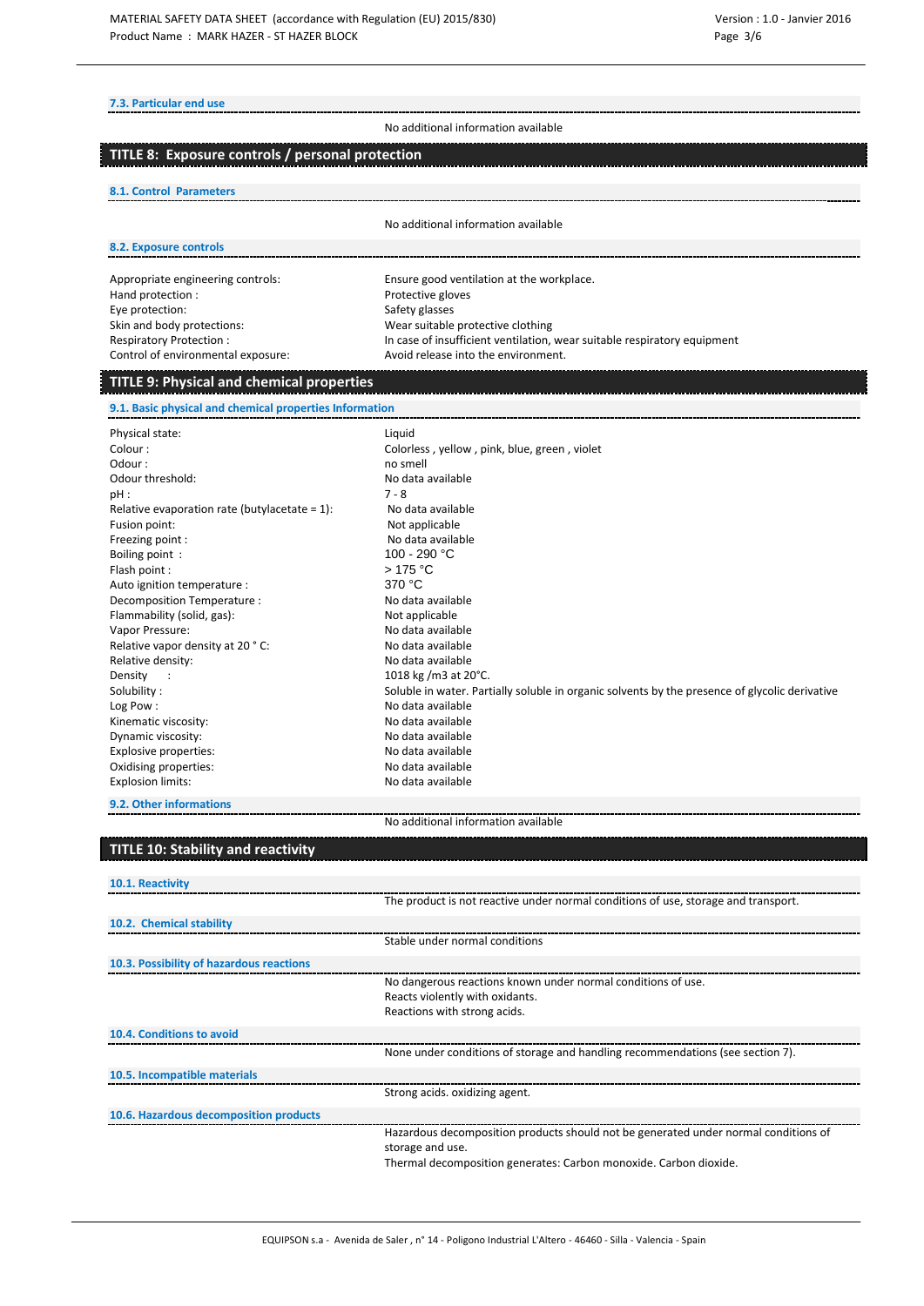#### **7.3. Particular end use**

No additional information available

### **TITLE 8: Exposure controls / personal protection**

#### **8.1. Control Parameters**

No additional information available

### **8.2. Exposure controls**

Appropriate engineering controls: Ensure good ventilation at the workplace. Hand protection : Protective gloves Eye protection: Safety glasses Control of environmental exposure: Avoid release into the environment.

Skin and body protections:<br>
Respiratory Protection : The Section of the Section of the Section of the Section of the Section of the Section<br>
In case of insufficient ventilation, In case of insufficient ventilation, wear suitable respiratory equipment

## **TITLE 9: Physical and chemical properties**

**9.1. Basic physical and chemical properties Information**

| Physical state:                                  | Liquid                                                                                         |
|--------------------------------------------------|------------------------------------------------------------------------------------------------|
| Colour:                                          | Colorless, yellow, pink, blue, green, violet                                                   |
| Odour:                                           | no smell                                                                                       |
| Odour threshold:                                 | No data available                                                                              |
| $pH$ :                                           | $7 - 8$                                                                                        |
| Relative evaporation rate (butylacetate = $1$ ): | No data available                                                                              |
| Fusion point:                                    | Not applicable                                                                                 |
| Freezing point:                                  | No data available                                                                              |
| Boiling point:                                   | 100 - 290 °C                                                                                   |
| Flash point :                                    | >175 °C                                                                                        |
| Auto ignition temperature :                      | 370 °C                                                                                         |
| Decomposition Temperature:                       | No data available                                                                              |
| Flammability (solid, gas):                       | Not applicable                                                                                 |
| Vapor Pressure:                                  | No data available                                                                              |
| Relative vapor density at 20 °C:                 | No data available                                                                              |
| Relative density:                                | No data available                                                                              |
| Density<br>$\sim 10$                             | 1018 kg /m3 at 20°C.                                                                           |
| Solubility:                                      | Soluble in water. Partially soluble in organic solvents by the presence of glycolic derivative |
| Log Pow:                                         | No data available                                                                              |
| Kinematic viscosity:                             | No data available                                                                              |
| Dynamic viscosity:                               | No data available                                                                              |
| Explosive properties:                            | No data available                                                                              |
| Oxidising properties:                            | No data available                                                                              |
| <b>Explosion limits:</b>                         | No data available                                                                              |

### **9.2. Other informations**

No additional information available

## **TITLE 10: Stability and reactivity**

| 10.1. Reactivity                         |                                                                                     |
|------------------------------------------|-------------------------------------------------------------------------------------|
|                                          | The product is not reactive under normal conditions of use, storage and transport.  |
| 10.2. Chemical stability                 |                                                                                     |
|                                          | Stable under normal conditions                                                      |
| 10.3. Possibility of hazardous reactions |                                                                                     |
|                                          | No dangerous reactions known under normal conditions of use.                        |
|                                          | Reacts violently with oxidants.                                                     |
|                                          | Reactions with strong acids.                                                        |
| 10.4. Conditions to avoid                |                                                                                     |
|                                          | None under conditions of storage and handling recommendations (see section 7).      |
| 10.5. Incompatible materials             |                                                                                     |
|                                          | Strong acids. oxidizing agent.                                                      |
| 10.6. Hazardous decomposition products   |                                                                                     |
|                                          | Hazardous decomposition products should not be generated under normal conditions of |
|                                          | storage and use.                                                                    |
|                                          | Thermal decomposition generates: Carbon monoxide. Carbon dioxide.                   |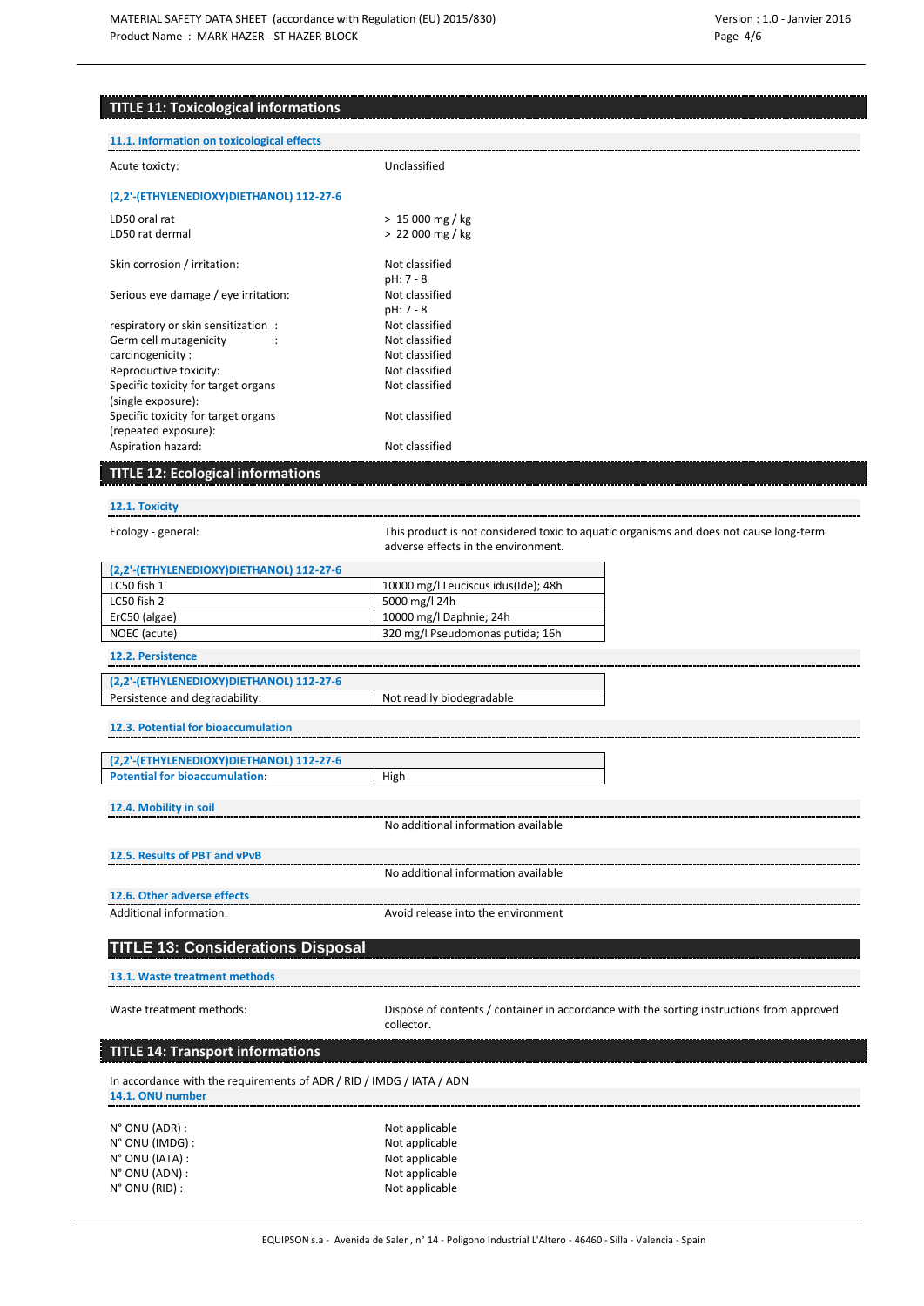## **TITLE 11: Toxicological informations**

| <b>TITLE 11: Toxicological informations</b>                                              |                                                                                                         |
|------------------------------------------------------------------------------------------|---------------------------------------------------------------------------------------------------------|
| 11.1. Information on toxicological effects                                               |                                                                                                         |
| Acute toxicty:                                                                           | Unclassified                                                                                            |
| (2,2'-(ETHYLENEDIOXY)DIETHANOL) 112-27-6                                                 |                                                                                                         |
| LD50 oral rat                                                                            | $> 15000$ mg / kg                                                                                       |
| LD50 rat dermal                                                                          | $> 22000$ mg / kg                                                                                       |
| Skin corrosion / irritation:                                                             | Not classified<br>pH: 7 - 8                                                                             |
| Serious eye damage / eye irritation:                                                     | Not classified<br>pH: 7 - 8                                                                             |
| respiratory or skin sensitization:                                                       | Not classified                                                                                          |
| Germ cell mutagenicity                                                                   | Not classified                                                                                          |
| carcinogenicity:                                                                         | Not classified                                                                                          |
| Reproductive toxicity:                                                                   | Not classified                                                                                          |
| Specific toxicity for target organs                                                      | Not classified                                                                                          |
| (single exposure):                                                                       |                                                                                                         |
| Specific toxicity for target organs                                                      | Not classified                                                                                          |
| (repeated exposure):                                                                     |                                                                                                         |
| Aspiration hazard:                                                                       | Not classified                                                                                          |
| <b>TITLE 12: Ecological informations</b>                                                 |                                                                                                         |
| 12.1. Toxicity                                                                           |                                                                                                         |
| Ecology - general:                                                                       | This product is not considered toxic to aquatic organisms and does not cause long-term                  |
|                                                                                          | adverse effects in the environment.                                                                     |
| (2,2'-(ETHYLENEDIOXY)DIETHANOL) 112-27-6                                                 |                                                                                                         |
| LC50 fish 1                                                                              | 10000 mg/l Leuciscus idus(Ide); 48h                                                                     |
| LC50 fish 2                                                                              | 5000 mg/l 24h                                                                                           |
| ErC50 (algae)                                                                            | 10000 mg/l Daphnie; 24h                                                                                 |
| NOEC (acute)                                                                             | 320 mg/l Pseudomonas putida; 16h                                                                        |
| 12.2. Persistence                                                                        |                                                                                                         |
| (2,2'-(ETHYLENEDIOXY)DIETHANOL) 112-27-6                                                 |                                                                                                         |
| Persistence and degradability:                                                           | Not readily biodegradable                                                                               |
| 12.3. Potential for bioaccumulation                                                      |                                                                                                         |
|                                                                                          |                                                                                                         |
| (2,2'-(ETHYLENEDIOXY)DIETHANOL) 112-27-6<br><b>Potential for bioaccumulation:</b>        | High                                                                                                    |
|                                                                                          |                                                                                                         |
| 12.4. Mobility in soil                                                                   | No additional information available                                                                     |
|                                                                                          |                                                                                                         |
| 12.5. Results of PBT and vPvB                                                            | No additional information available                                                                     |
|                                                                                          |                                                                                                         |
| 12.6. Other adverse effects                                                              |                                                                                                         |
| Additional information:                                                                  | Avoid release into the environment                                                                      |
| <b>TITLE 13: Considerations Disposal</b>                                                 |                                                                                                         |
| 13.1. Waste treatment methods                                                            |                                                                                                         |
| Waste treatment methods:                                                                 | Dispose of contents / container in accordance with the sorting instructions from approved<br>collector. |
| <b>TITLE 14: Transport informations</b>                                                  |                                                                                                         |
| In accordance with the requirements of ADR / RID / IMDG / IATA / ADN<br>14.1. ONU number |                                                                                                         |
|                                                                                          |                                                                                                         |